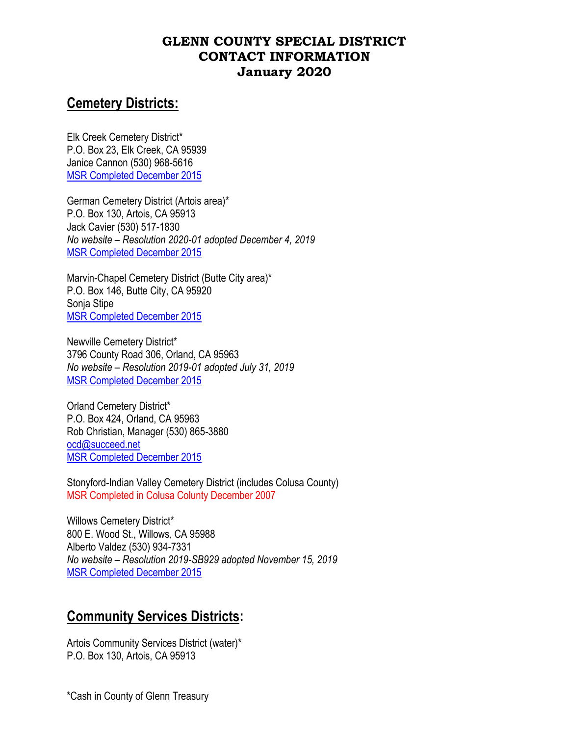# **Cemetery Districts:**

Elk Creek Cemetery District\* P.O. Box 23, Elk Creek, CA 95939 Janice Cannon (530) 968-5616 MSR [Completed December 2015](https://www.countyofglenn.net/sites/default/files/Local_Agency_Formation_Commission/Cemetary%20MSR%20SOI%202015.pdf)

German Cemetery District (Artois area)\* P.O. Box 130, Artois, CA 95913 Jack Cavier (530) 517-1830 *No website – Resolution 2020-01 adopted December 4, 2019* [MSR Completed December 2015](https://www.countyofglenn.net/sites/default/files/Local_Agency_Formation_Commission/Cemetary%20MSR%20SOI%202015.pdf)

Marvin-Chapel Cemetery District (Butte City area)\* P.O. Box 146, Butte City, CA 95920 Sonja Stipe [MSR Completed December 2015](https://www.countyofglenn.net/sites/default/files/Local_Agency_Formation_Commission/Cemetary%20MSR%20SOI%202015.pdf)

Newville Cemetery District\* 3796 County Road 306, Orland, CA 95963 *No website – Resolution 2019-01 adopted July 31, 2019* [MSR Completed December 2015](https://www.countyofglenn.net/sites/default/files/Local_Agency_Formation_Commission/Cemetary%20MSR%20SOI%202015.pdf)

Orland Cemetery District\* P.O. Box 424, Orland, CA 95963 Rob Christian, Manager (530) 865-3880 [ocd@succeed.net](mailto:ocd@succeed.net) [MSR Completed December 2015](https://www.countyofglenn.net/sites/default/files/Local_Agency_Formation_Commission/Cemetary%20MSR%20SOI%202015.pdf)

Stonyford-Indian Valley Cemetery District (includes Colusa County) MSR Completed in Colusa Colunty December 2007

Willows Cemetery District\* 800 E. Wood St., Willows, CA 95988 Alberto Valdez (530) 934-7331 *No website – Resolution 2019-SB929 adopted November 15, 2019* [MSR Completed December 2015](https://www.countyofglenn.net/sites/default/files/Local_Agency_Formation_Commission/Cemetary%20MSR%20SOI%202015.pdf)

## **Community Services Districts:**

Artois Community Services District (water)\* P.O. Box 130, Artois, CA 95913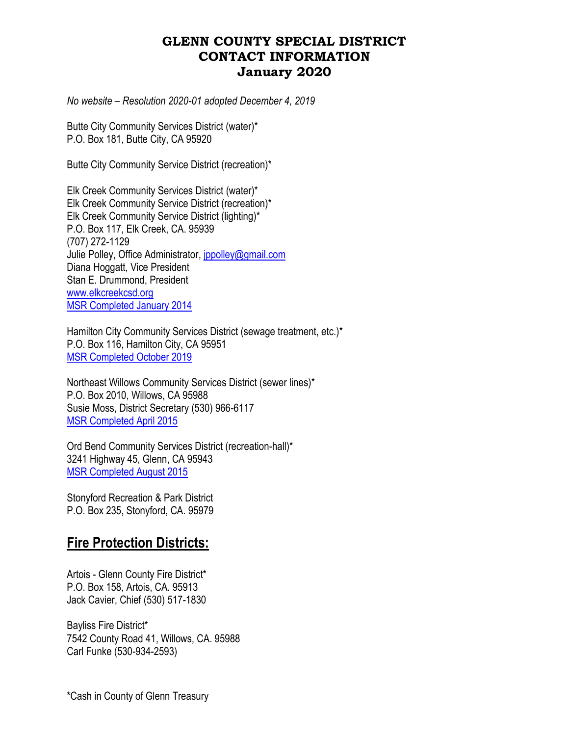*No website – Resolution 2020-01 adopted December 4, 2019*

Butte City Community Services District (water)\* P.O. Box 181, Butte City, CA 95920

Butte City Community Service District (recreation)\*

Elk Creek Community Services District (water)\* Elk Creek Community Service District (recreation)\* Elk Creek Community Service District (lighting)\* P.O. Box 117, Elk Creek, CA. 95939 (707) 272-1129 Julie Polley, Office Administrator, *jppolley@gmail.com* Diana Hoggatt, Vice President Stan E. Drummond, President [www.elkcreekcsd.org](http://www.elkcreekcsd.org/) [MSR Completed January 2014](https://www.countyofglenn.net/sites/default/files/Local_Agency_Formation_Commission/ElkCreekMunicipalServiceReviewandSphereofInfluence.pdf)

Hamilton City Community Services District (sewage treatment, etc.)\* P.O. Box 116, Hamilton City, CA 95951 [MSR Completed October 2019](https://www.countyofglenn.net/sites/default/files/Final%20HCCSD%20MSR%20and%20SOI%20Plan.pdf)

Northeast Willows Community Services District (sewer lines)\* P.O. Box 2010, Willows, CA 95988 Susie Moss, District Secretary (530) 966-6117 [MSR Completed April 2015](https://www.countyofglenn.net/sites/default/files/Local_Agency_Formation_Commission/NortheastWillowsCommunityServicesDistrict.pdf)

Ord Bend Community Services District (recreation-hall)\* 3241 Highway 45, Glenn, CA 95943 [MSR Completed August 2015](https://www.countyofglenn.net/sites/default/files/images/Ord%20BEND%20CSD-no%20maps-ADOPTED.pdf)

Stonyford Recreation & Park District P.O. Box 235, Stonyford, CA. 95979

## **Fire Protection Districts:**

Artois - Glenn County Fire District\* P.O. Box 158, Artois, CA. 95913 Jack Cavier, Chief (530) 517-1830

Bayliss Fire District\* 7542 County Road 41, Willows, CA. 95988 Carl Funke (530-934-2593)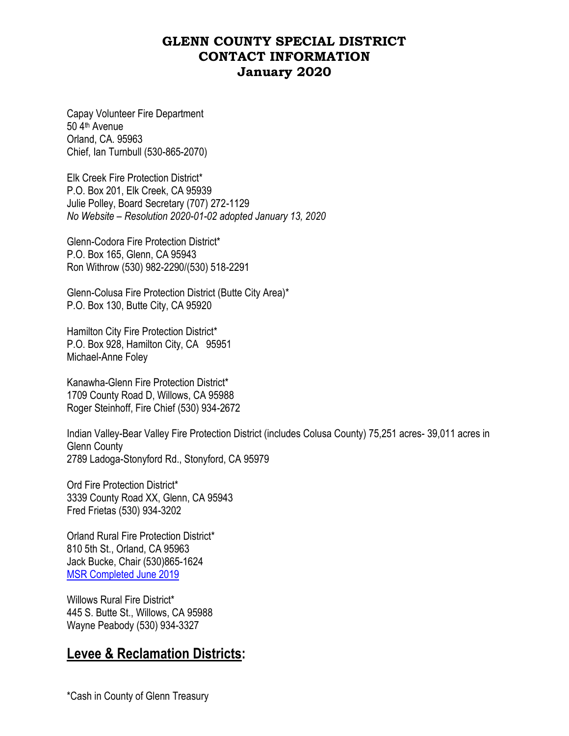Capay Volunteer Fire Department 50 4th Avenue Orland, CA. 95963 Chief, Ian Turnbull (530-865-2070)

Elk Creek Fire Protection District\* P.O. Box 201, Elk Creek, CA 95939 Julie Polley, Board Secretary (707) 272-1129 *No Website – Resolution 2020-01-02 adopted January 13, 2020*

Glenn-Codora Fire Protection District\* P.O. Box 165, Glenn, CA 95943 Ron Withrow (530) 982-2290/(530) 518-2291

Glenn-Colusa Fire Protection District (Butte City Area)\* P.O. Box 130, Butte City, CA 95920

Hamilton City Fire Protection District\* P.O. Box 928, Hamilton City, CA 95951 Michael-Anne Foley

Kanawha-Glenn Fire Protection District\* 1709 County Road D, Willows, CA 95988 Roger Steinhoff, Fire Chief (530) 934-2672

Indian Valley-Bear Valley Fire Protection District (includes Colusa County) 75,251 acres- 39,011 acres in Glenn County 2789 Ladoga-Stonyford Rd., Stonyford, CA 95979

Ord Fire Protection District\* 3339 County Road XX, Glenn, CA 95943 Fred Frietas (530) 934-3202

Orland Rural Fire Protection District\* 810 5th St., Orland, CA 95963 Jack Bucke, Chair (530)865-1624 [MSR Completed June 2019](https://www.countyofglenn.net/sites/default/files/Final%20ORFPD%20MSR-SOI%20Plan.pdf)

Willows Rural Fire District\* 445 S. Butte St., Willows, CA 95988 Wayne Peabody (530) 934-3327

### **Levee & Reclamation Districts:**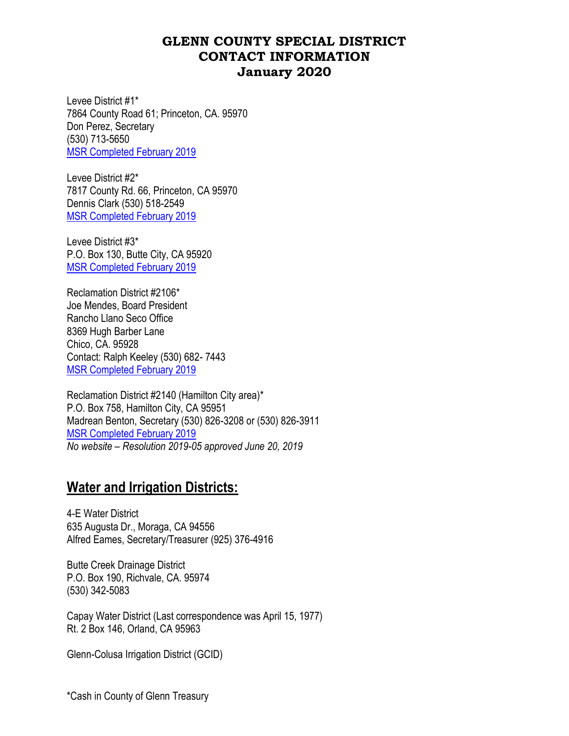Levee District #1\* 7864 County Road 61; Princeton, CA. 95970 Don Perez, Secretary (530) 713-5650 [MSR Completed February 2019](https://www.countyofglenn.net/sites/default/files/Information_Services_Coordinating_Committee/Final%20Levee%20%26%20Reclamation%20Districts%20MSRs%20and%20SOI%20Plans.pdf)

Levee District #2\* 7817 County Rd. 66, Princeton, CA 95970 Dennis Clark (530) 518-2549 [MSR Completed February 2019](https://www.countyofglenn.net/sites/default/files/Information_Services_Coordinating_Committee/Final%20Levee%20%26%20Reclamation%20Districts%20MSRs%20and%20SOI%20Plans.pdf)

Levee District #3\* P.O. Box 130, Butte City, CA 95920 [MSR Completed February 2019](https://www.countyofglenn.net/sites/default/files/Information_Services_Coordinating_Committee/Final%20Levee%20%26%20Reclamation%20Districts%20MSRs%20and%20SOI%20Plans.pdf)

Reclamation District #2106\* Joe Mendes, Board President Rancho Llano Seco Office 8369 Hugh Barber Lane Chico, CA. 95928 Contact: Ralph Keeley (530) 682- 7443 [MSR Completed February 2019](https://www.countyofglenn.net/sites/default/files/Information_Services_Coordinating_Committee/Final%20Levee%20%26%20Reclamation%20Districts%20MSRs%20and%20SOI%20Plans.pdf)

Reclamation District #2140 (Hamilton City area)\* P.O. Box 758, Hamilton City, CA 95951 Madrean Benton, Secretary (530) 826-3208 or (530) 826-3911 [MSR Completed February 2019](https://www.countyofglenn.net/sites/default/files/Information_Services_Coordinating_Committee/Final%20Levee%20%26%20Reclamation%20Districts%20MSRs%20and%20SOI%20Plans.pdf) *No website – Resolution 2019-05 approved June 20, 2019*

## **Water and Irrigation Districts:**

4-E Water District 635 Augusta Dr., Moraga, CA 94556 Alfred Eames, Secretary/Treasurer (925) 376-4916

Butte Creek Drainage District P.O. Box 190, Richvale, CA. 95974 (530) 342-5083

Capay Water District (Last correspondence was April 15, 1977) Rt. 2 Box 146, Orland, CA 95963

Glenn-Colusa Irrigation District (GCID)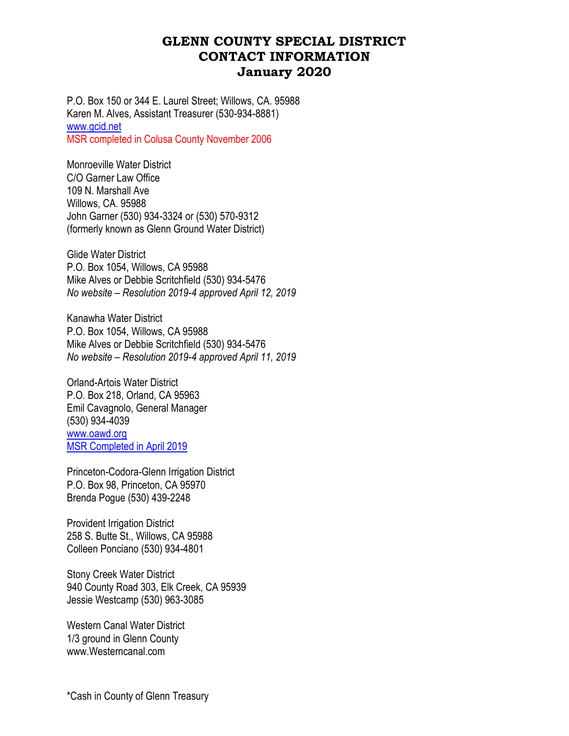P.O. Box 150 or 344 E. Laurel Street; Willows, CA. 95988 Karen M. Alves, Assistant Treasurer (530-934-8881) [www.gcid.net](http://www.gcid.net/) MSR completed in Colusa County November 2006

Monroeville Water District C/O Garner Law Office 109 N. Marshall Ave Willows, CA. 95988 John Garner (530) 934-3324 or (530) 570-9312 (formerly known as Glenn Ground Water District)

Glide Water District P.O. Box 1054, Willows, CA 95988 Mike Alves or Debbie Scritchfield (530) 934-5476 *No website – Resolution 2019-4 approved April 12, 2019*

Kanawha Water District P.O. Box 1054, Willows, CA 95988 Mike Alves or Debbie Scritchfield (530) 934-5476 *No website – Resolution 2019-4 approved April 11, 2019*

Orland-Artois Water District P.O. Box 218, Orland, CA 95963 Emil Cavagnolo, General Manager (530) 934-4039 www.oawd.org [MSR Completed in April 2019](https://www.countyofglenn.net/sites/default/files/Bid_Manager/Final%20Complete%20OAWD%20MSR%20and%20SOI%20Plan.pdf)

Princeton-Codora-Glenn Irrigation District P.O. Box 98, Princeton, CA 95970 Brenda Pogue (530) 439-2248

Provident Irrigation District 258 S. Butte St., Willows, CA 95988 Colleen Ponciano (530) 934-4801

Stony Creek Water District 940 County Road 303, Elk Creek, CA 95939 Jessie Westcamp (530) 963-3085

Western Canal Water District 1/3 ground in Glenn County [www.Westerncanal.com](http://www.westerncanal.com/)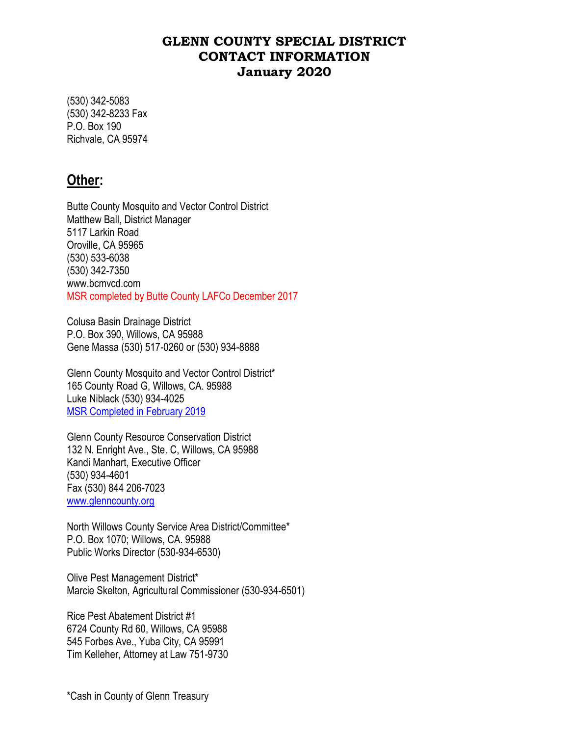(530) 342-5083 (530) 342-8233 Fax P.O. Box 190 Richvale, CA 95974

### **Other:**

Butte County Mosquito and Vector Control District Matthew Ball, District Manager 5117 Larkin Road Oroville, CA 95965 (530) 533-6038 (530) 342-7350 [www.bcmvcd.com](http://www.bcmvcd.com/) MSR completed by Butte County LAFCo December 2017

Colusa Basin Drainage District P.O. Box 390, Willows, CA 95988 Gene Massa (530) 517-0260 or (530) 934-8888

Glenn County Mosquito and Vector Control District\* 165 County Road G, Willows, CA. 95988 Luke Niblack (530) 934-4025 [MSR Completed in February 2019](https://www.countyofglenn.net/sites/default/files/Information_Services_Coordinating_Committee/FINAL%20GCMVCD%20MSR-SOI%20Plan.pdf)

Glenn County Resource Conservation District 132 N. Enright Ave., Ste. C, Willows, CA 95988 Kandi Manhart, Executive Officer (530) 934-4601 Fax (530) 844 206-7023 [www.glenncounty.org](http://www.glenncounty.org/)

North Willows County Service Area District/Committee\* P.O. Box 1070; Willows, CA. 95988 Public Works Director (530-934-6530)

Olive Pest Management District\* Marcie Skelton, Agricultural Commissioner (530-934-6501)

Rice Pest Abatement District #1 6724 County Rd 60, Willows, CA 95988 545 Forbes Ave., Yuba City, CA 95991 Tim Kelleher, Attorney at Law 751-9730